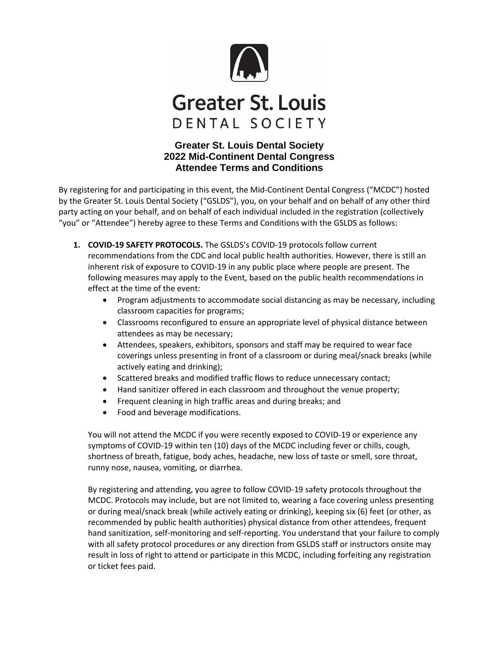

## **Greater St. Louis** DENTAL SOCIETY

## **Greater St. Louis Dental Society 2022 Mid-Continent Dental Congress Attendee Terms and Conditions**

By registering for and participating in this event, the Mid-Continent Dental Congress ("MCDC") hosted by the Greater St. Louis Dental Society ("GSLDS"), you, on your behalf and on behalf of any other third party acting on your behalf, and on behalf of each individual included in the registration (collectively "you" or "Attendee") hereby agree to these Terms and Conditions with the GSLDS as follows:

- **1. COVID-19 SAFETY PROTOCOLS.** The GSLDS's COVID-19 protocols follow current recommendations from the CDC and local public health authorities. However, there is still an inherent risk of exposure to COVID-19 in any public place where people are present. The following measures may apply to the Event, based on the public health recommendations in effect at the time of the event:
	- Program adjustments to accommodate social distancing as may be necessary, including classroom capacities for programs;
	- Classrooms reconfigured to ensure an appropriate level of physical distance between attendees as may be necessary;
	- Attendees, speakers, exhibitors, sponsors and staff may be required to wear face coverings unless presenting in front of a classroom or during meal/snack breaks (while actively eating and drinking);
	- Scattered breaks and modified traffic flows to reduce unnecessary contact;
	- Hand sanitizer offered in each classroom and throughout the venue property;
	- **•** Frequent cleaning in high traffic areas and during breaks; and
	- Food and beverage modifications.

You will not attend the MCDC if you were recently exposed to COVID-19 or experience any symptoms of COVID-19 within ten (10) days of the MCDC including fever or chills, cough, shortness of breath, fatigue, body aches, headache, new loss of taste or smell, sore throat, runny nose, nausea, vomiting, or diarrhea.

By registering and attending, you agree to follow COVID-19 safety protocols throughout the MCDC. Protocols may include, but are not limited to, wearing a face covering unless presenting or during meal/snack break (while actively eating or drinking), keeping six (6) feet (or other, as recommended by public health authorities) physical distance from other attendees, frequent hand sanitization, self-monitoring and self-reporting. You understand that your failure to comply with all safety protocol procedures or any direction from GSLDS staff or instructors onsite may result in loss of right to attend or participate in this MCDC, including forfeiting any registration or ticket fees paid.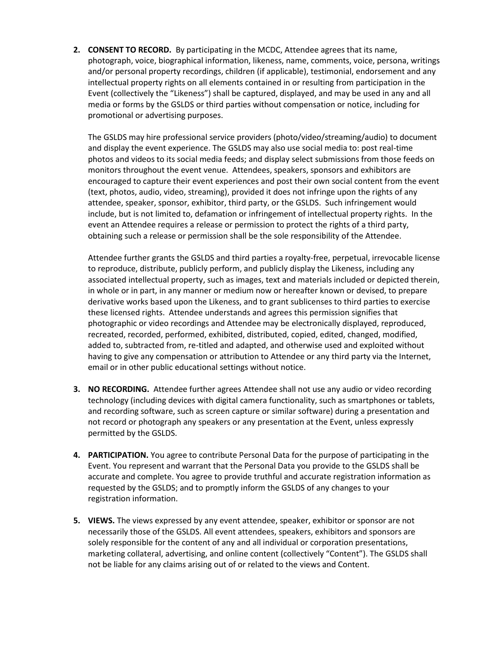**2. CONSENT TO RECORD.** By participating in the MCDC, Attendee agrees that its name, photograph, voice, biographical information, likeness, name, comments, voice, persona, writings and/or personal property recordings, children (if applicable), testimonial, endorsement and any intellectual property rights on all elements contained in or resulting from participation in the Event (collectively the "Likeness") shall be captured, displayed, and may be used in any and all media or forms by the GSLDS or third parties without compensation or notice, including for promotional or advertising purposes.

The GSLDS may hire professional service providers (photo/video/streaming/audio) to document and display the event experience. The GSLDS may also use social media to: post real-time photos and videos to its social media feeds; and display select submissions from those feeds on monitors throughout the event venue. Attendees, speakers, sponsors and exhibitors are encouraged to capture their event experiences and post their own social content from the event (text, photos, audio, video, streaming), provided it does not infringe upon the rights of any attendee, speaker, sponsor, exhibitor, third party, or the GSLDS. Such infringement would include, but is not limited to, defamation or infringement of intellectual property rights. In the event an Attendee requires a release or permission to protect the rights of a third party, obtaining such a release or permission shall be the sole responsibility of the Attendee.

Attendee further grants the GSLDS and third parties a royalty-free, perpetual, irrevocable license to reproduce, distribute, publicly perform, and publicly display the Likeness, including any associated intellectual property, such as images, text and materials included or depicted therein, in whole or in part, in any manner or medium now or hereafter known or devised, to prepare derivative works based upon the Likeness, and to grant sublicenses to third parties to exercise these licensed rights. Attendee understands and agrees this permission signifies that photographic or video recordings and Attendee may be electronically displayed, reproduced, recreated, recorded, performed, exhibited, distributed, copied, edited, changed, modified, added to, subtracted from, re-titled and adapted, and otherwise used and exploited without having to give any compensation or attribution to Attendee or any third party via the Internet, email or in other public educational settings without notice.

- **3. NO RECORDING.** Attendee further agrees Attendee shall not use any audio or video recording technology (including devices with digital camera functionality, such as smartphones or tablets, and recording software, such as screen capture or similar software) during a presentation and not record or photograph any speakers or any presentation at the Event, unless expressly permitted by the GSLDS.
- **4. PARTICIPATION.** You agree to contribute Personal Data for the purpose of participating in the Event. You represent and warrant that the Personal Data you provide to the GSLDS shall be accurate and complete. You agree to provide truthful and accurate registration information as requested by the GSLDS; and to promptly inform the GSLDS of any changes to your registration information.
- **5. VIEWS.** The views expressed by any event attendee, speaker, exhibitor or sponsor are not necessarily those of the GSLDS. All event attendees, speakers, exhibitors and sponsors are solely responsible for the content of any and all individual or corporation presentations, marketing collateral, advertising, and online content (collectively "Content"). The GSLDS shall not be liable for any claims arising out of or related to the views and Content.